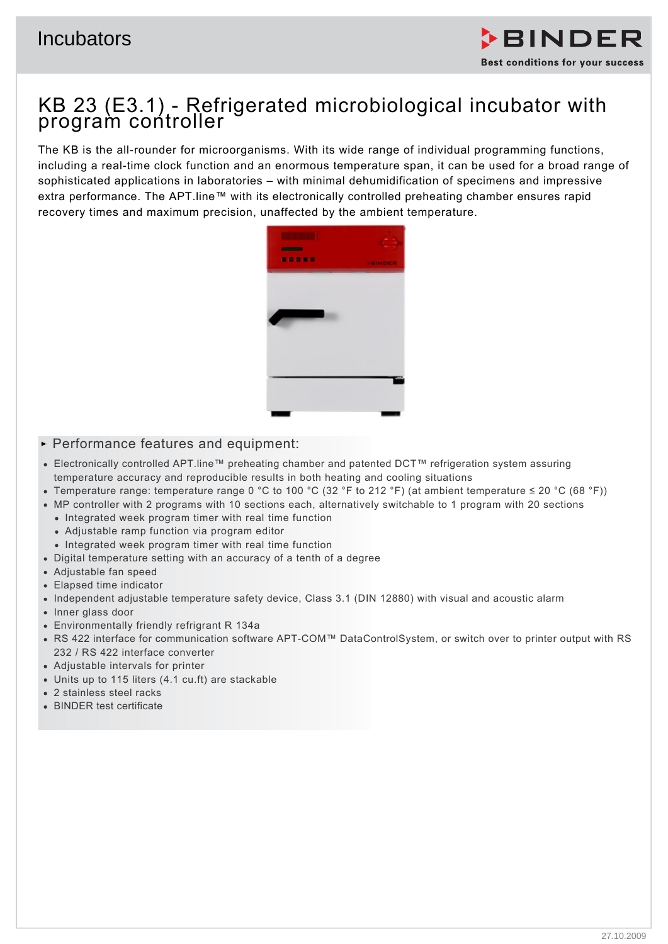

# KB 23 (E3.1) - Refrigerated microbiological incubator with program controller

The KB is the all-rounder for microorganisms. With its wide range of individual programming functions, including a real-time clock function and an enormous temperature span, it can be used for a broad range of sophisticated applications in laboratories – with minimal dehumidification of specimens and impressive extra performance. The APT.line™ with its electronically controlled preheating chamber ensures rapid recovery times and maximum precision, unaffected by the ambient temperature.



## $\blacktriangleright$  Performance features and equipment:

- Electronically controlled APT.line™ preheating chamber and patented DCT™ refrigeration system assuring temperature accuracy and reproducible results in both heating and cooling situations
- Temperature range: temperature range 0 °C to 100 °C (32 °F to 212 °F) (at ambient temperature ≤ 20 °C (68 °F))
- MP controller with 2 programs with 10 sections each, alternatively switchable to 1 program with 20 sections
	- Integrated week program timer with real time function
	- Adjustable ramp function via program editor
	- Integrated week program timer with real time function
- Digital temperature setting with an accuracy of a tenth of a degree
- Adjustable fan speed
- Elapsed time indicator
- Independent adjustable temperature safety device, Class 3.1 (DIN 12880) with visual and acoustic alarm
- Inner glass door
- Environmentally friendly refrigrant R 134a
- RS 422 interface for communication software APT-COM™ DataControlSystem, or switch over to printer output with RS 232 / RS 422 interface converter
- Adjustable intervals for printer
- Units up to 115 liters (4.1 cu.ft) are stackable
- 2 stainless steel racks
- BINDER test certificate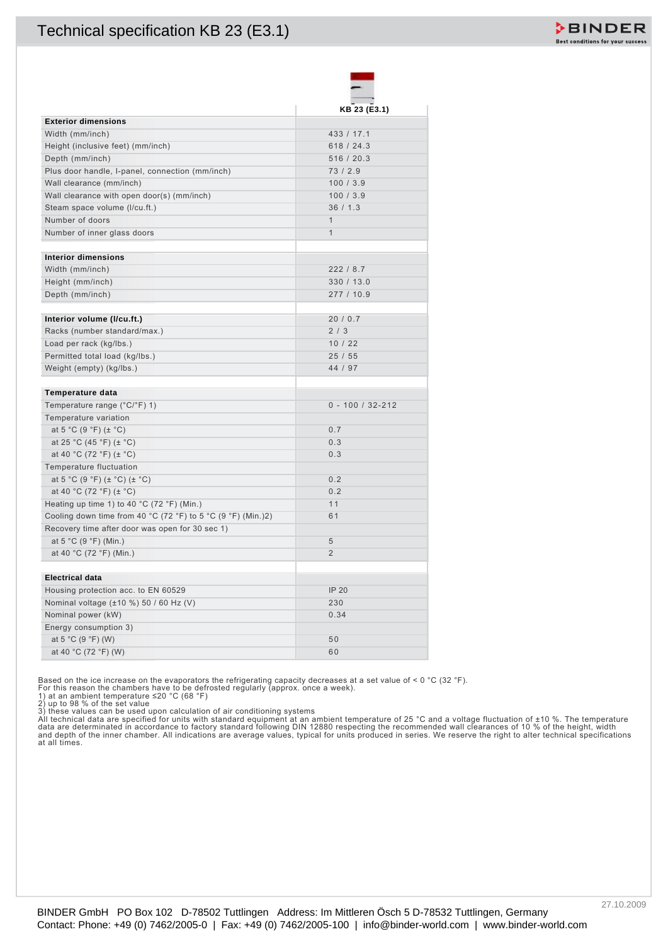| 433 / 17.1                                                                                                                                                                                                                             |                                                                                                                                                                                                                                                                                                                                                                 |
|----------------------------------------------------------------------------------------------------------------------------------------------------------------------------------------------------------------------------------------|-----------------------------------------------------------------------------------------------------------------------------------------------------------------------------------------------------------------------------------------------------------------------------------------------------------------------------------------------------------------|
| 618 / 24.3                                                                                                                                                                                                                             |                                                                                                                                                                                                                                                                                                                                                                 |
| 516 / 20.3                                                                                                                                                                                                                             |                                                                                                                                                                                                                                                                                                                                                                 |
| 73/2.9                                                                                                                                                                                                                                 |                                                                                                                                                                                                                                                                                                                                                                 |
| 100/3.9                                                                                                                                                                                                                                |                                                                                                                                                                                                                                                                                                                                                                 |
| 100/3.9                                                                                                                                                                                                                                |                                                                                                                                                                                                                                                                                                                                                                 |
| 36/1.3                                                                                                                                                                                                                                 |                                                                                                                                                                                                                                                                                                                                                                 |
| $\mathbf{1}$                                                                                                                                                                                                                           |                                                                                                                                                                                                                                                                                                                                                                 |
| $\mathbf{1}$                                                                                                                                                                                                                           |                                                                                                                                                                                                                                                                                                                                                                 |
|                                                                                                                                                                                                                                        |                                                                                                                                                                                                                                                                                                                                                                 |
|                                                                                                                                                                                                                                        |                                                                                                                                                                                                                                                                                                                                                                 |
|                                                                                                                                                                                                                                        |                                                                                                                                                                                                                                                                                                                                                                 |
| 277 / 10.9                                                                                                                                                                                                                             |                                                                                                                                                                                                                                                                                                                                                                 |
|                                                                                                                                                                                                                                        |                                                                                                                                                                                                                                                                                                                                                                 |
| 20/0.7                                                                                                                                                                                                                                 |                                                                                                                                                                                                                                                                                                                                                                 |
| 2/3                                                                                                                                                                                                                                    |                                                                                                                                                                                                                                                                                                                                                                 |
|                                                                                                                                                                                                                                        |                                                                                                                                                                                                                                                                                                                                                                 |
|                                                                                                                                                                                                                                        |                                                                                                                                                                                                                                                                                                                                                                 |
|                                                                                                                                                                                                                                        |                                                                                                                                                                                                                                                                                                                                                                 |
|                                                                                                                                                                                                                                        |                                                                                                                                                                                                                                                                                                                                                                 |
|                                                                                                                                                                                                                                        |                                                                                                                                                                                                                                                                                                                                                                 |
|                                                                                                                                                                                                                                        |                                                                                                                                                                                                                                                                                                                                                                 |
|                                                                                                                                                                                                                                        |                                                                                                                                                                                                                                                                                                                                                                 |
|                                                                                                                                                                                                                                        |                                                                                                                                                                                                                                                                                                                                                                 |
|                                                                                                                                                                                                                                        |                                                                                                                                                                                                                                                                                                                                                                 |
|                                                                                                                                                                                                                                        |                                                                                                                                                                                                                                                                                                                                                                 |
|                                                                                                                                                                                                                                        |                                                                                                                                                                                                                                                                                                                                                                 |
|                                                                                                                                                                                                                                        |                                                                                                                                                                                                                                                                                                                                                                 |
|                                                                                                                                                                                                                                        |                                                                                                                                                                                                                                                                                                                                                                 |
|                                                                                                                                                                                                                                        |                                                                                                                                                                                                                                                                                                                                                                 |
| 5                                                                                                                                                                                                                                      |                                                                                                                                                                                                                                                                                                                                                                 |
| $\overline{2}$                                                                                                                                                                                                                         |                                                                                                                                                                                                                                                                                                                                                                 |
|                                                                                                                                                                                                                                        |                                                                                                                                                                                                                                                                                                                                                                 |
| <b>IP 20</b>                                                                                                                                                                                                                           |                                                                                                                                                                                                                                                                                                                                                                 |
|                                                                                                                                                                                                                                        |                                                                                                                                                                                                                                                                                                                                                                 |
| 0.34                                                                                                                                                                                                                                   |                                                                                                                                                                                                                                                                                                                                                                 |
|                                                                                                                                                                                                                                        |                                                                                                                                                                                                                                                                                                                                                                 |
| 50                                                                                                                                                                                                                                     |                                                                                                                                                                                                                                                                                                                                                                 |
| 60                                                                                                                                                                                                                                     |                                                                                                                                                                                                                                                                                                                                                                 |
|                                                                                                                                                                                                                                        |                                                                                                                                                                                                                                                                                                                                                                 |
|                                                                                                                                                                                                                                        |                                                                                                                                                                                                                                                                                                                                                                 |
|                                                                                                                                                                                                                                        |                                                                                                                                                                                                                                                                                                                                                                 |
|                                                                                                                                                                                                                                        |                                                                                                                                                                                                                                                                                                                                                                 |
|                                                                                                                                                                                                                                        |                                                                                                                                                                                                                                                                                                                                                                 |
| 2) up to 98 % of the set value<br>3) these values can be used upon calculation of air conditioning systems<br>3) these values can be used upon calculation of air conditioning systems<br>4) these values can be used upon calculation |                                                                                                                                                                                                                                                                                                                                                                 |
|                                                                                                                                                                                                                                        | KB 23 (E3.1)<br>222 / 8.7<br>330 / 13.0<br>10/22<br>25/55<br>44 / 97<br>$0 - 100 / 32 - 212$<br>0.7<br>0.3<br>0.3<br>0.2<br>0.2<br>11<br>61<br>230<br>Based on the ice increase on the evaporators the refrigerating capacity decreases at a set value of < 0 °C (32 °F).<br>For this reason the chambers have to be defrosted regularly (approx. once a week). |

For this reason the chambers have to be defrosted regularly (approx. once a week).<br>1) at an ambient temperature ≤20 °C (68 °F)<br>2) up to 98 % of the set value<br>3) these values can be used upon calculation of air conditioning

|  |  | BINDER GmbH PO Box 102 D-78502 Tuttlingen Address: Im Mittleren Ösch 5 D-78532 Tuttlingen, Germany             |  |
|--|--|----------------------------------------------------------------------------------------------------------------|--|
|  |  | Contact: Phone: +49 (0) 7462/2005-0   Fax: +49 (0) 7462/2005-100   info@binder-world.com   www.binder-world.cc |  |

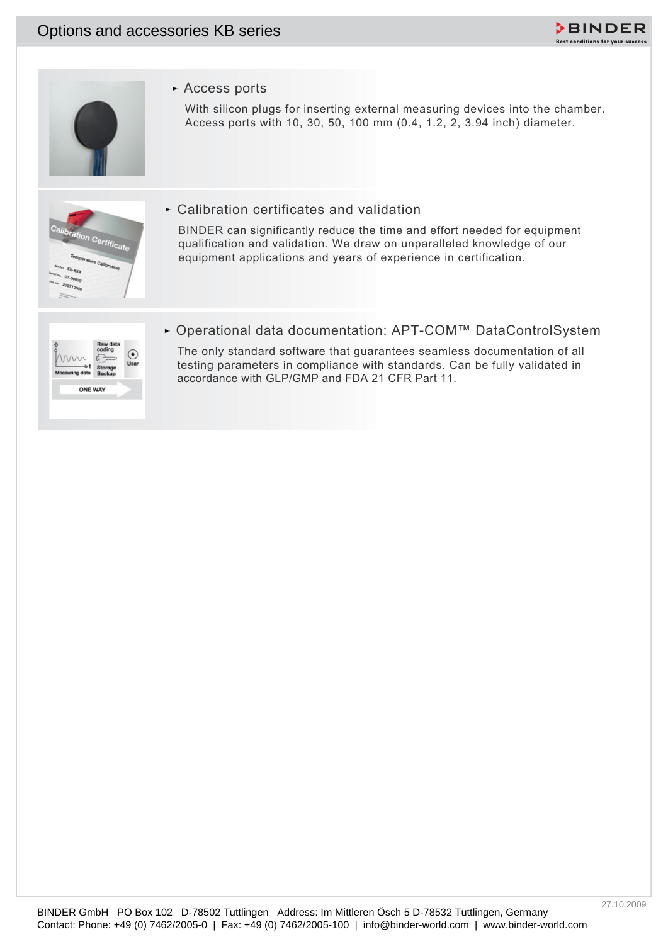



Access ports

With silicon plugs for inserting external measuring devices into the chamber. Access ports with 10, 30, 50, 100 mm (0.4, 1.2, 2, 3.94 inch) diameter.



Calibration certificates and validation

Contact: Phone: However, Phone: Phone: However, Phone: However, Phone: However, Phone: However, Phone: However, Phone: However, Phone: However, Phone: However, Phone: However, Options and accessories Adventure (Contactions BINDER can significantly reduce the time and effort needed for equipment qualification and validation. We draw on unparalleled knowledge of our equipment applications and years of experience in certification.



Operational data documentation: APT-COM™ DataControlSystem

The only standard software that guarantees seamless documentation of all testing parameters in compliance with standards. Can be fully validated in accordance with GLP/GMP and FDA 21 CFR Part 11.